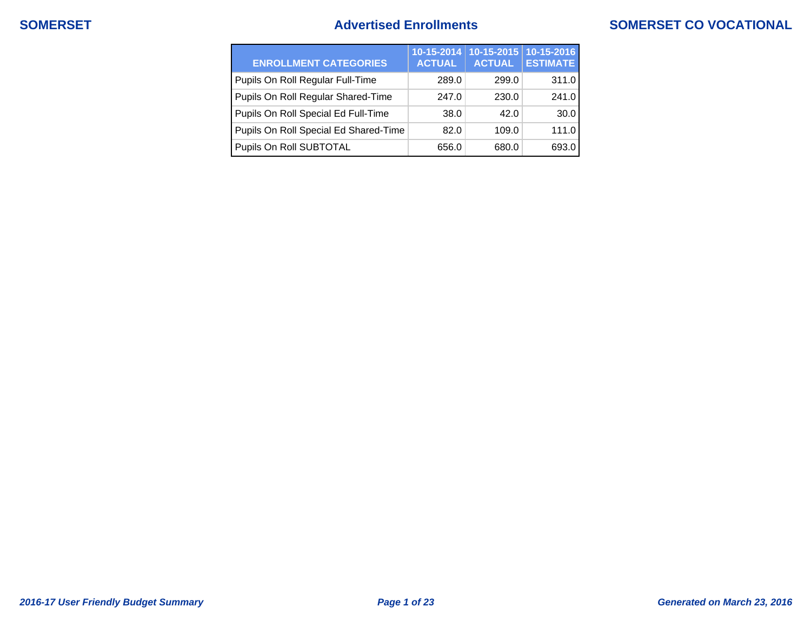## **SOMERSET Advertised Enrollments SOMERSET CO VOCATIONAL**

| <b>ENROLLMENT CATEGORIES</b>          | <b>ACTUAL</b> | 10-15-2014 10-15-2015<br><b>ACTUAL</b> | $10 - 15 - 2016$<br><b>ESTIMATE</b> |
|---------------------------------------|---------------|----------------------------------------|-------------------------------------|
| Pupils On Roll Regular Full-Time      | 289.0         | 299.0                                  | 311.0                               |
| Pupils On Roll Regular Shared-Time    | 247.0         | 230.0                                  | 241.0                               |
| Pupils On Roll Special Ed Full-Time   | 38.0          | 42.0                                   | 30.0                                |
| Pupils On Roll Special Ed Shared-Time | 82.0          | 109.0                                  | 111.0                               |
| Pupils On Roll SUBTOTAL               | 656.0         | 680.0                                  | 693.0                               |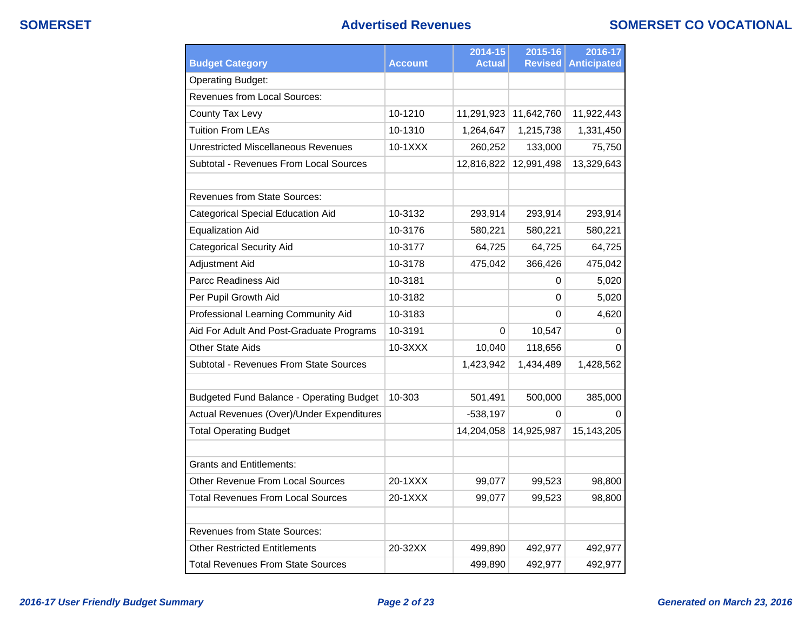## **SOMERSET Advertised Revenues SOMERSET CO VOCATIONAL**

| <b>Budget Category</b>                          | <b>Account</b> | 2014-15<br><b>Actual</b> | 2015-16<br><b>Revised</b> | 2016-17<br><b>Anticipated</b> |
|-------------------------------------------------|----------------|--------------------------|---------------------------|-------------------------------|
| <b>Operating Budget:</b>                        |                |                          |                           |                               |
| Revenues from Local Sources:                    |                |                          |                           |                               |
| County Tax Levy                                 | 10-1210        | 11,291,923               | 11,642,760                | 11,922,443                    |
| <b>Tuition From LEAs</b>                        | 10-1310        | 1,264,647                | 1,215,738                 | 1,331,450                     |
| Unrestricted Miscellaneous Revenues             | 10-1XXX        | 260,252                  | 133,000                   | 75,750                        |
| Subtotal - Revenues From Local Sources          |                | 12,816,822               | 12,991,498                | 13,329,643                    |
| <b>Revenues from State Sources:</b>             |                |                          |                           |                               |
| <b>Categorical Special Education Aid</b>        | 10-3132        | 293,914                  | 293,914                   | 293,914                       |
| <b>Equalization Aid</b>                         | 10-3176        | 580,221                  | 580,221                   | 580,221                       |
| <b>Categorical Security Aid</b>                 | 10-3177        | 64,725                   | 64,725                    | 64,725                        |
| <b>Adjustment Aid</b>                           | 10-3178        | 475,042                  | 366,426                   | 475,042                       |
| Parcc Readiness Aid                             | 10-3181        |                          | 0                         | 5,020                         |
| Per Pupil Growth Aid                            | 10-3182        |                          | 0                         | 5,020                         |
| Professional Learning Community Aid             | 10-3183        |                          | 0                         | 4,620                         |
| Aid For Adult And Post-Graduate Programs        | 10-3191        | $\mathbf 0$              | 10,547                    | 0                             |
| <b>Other State Aids</b>                         | 10-3XXX        | 10,040                   | 118,656                   | 0                             |
| Subtotal - Revenues From State Sources          |                | 1,423,942                | 1,434,489                 | 1,428,562                     |
| <b>Budgeted Fund Balance - Operating Budget</b> | 10-303         | 501,491                  | 500,000                   | 385,000                       |
| Actual Revenues (Over)/Under Expenditures       |                | $-538,197$               | 0                         | U                             |
| <b>Total Operating Budget</b>                   |                | 14,204,058               | 14,925,987                | 15,143,205                    |
| <b>Grants and Entitlements:</b>                 |                |                          |                           |                               |
| Other Revenue From Local Sources                | 20-1XXX        | 99,077                   | 99,523                    | 98,800                        |
| Total Revenues From Local Sources               | 20-1XXX        | 99,077                   | 99,523                    | 98,800                        |
| <b>Revenues from State Sources:</b>             |                |                          |                           |                               |
| <b>Other Restricted Entitlements</b>            | 20-32XX        | 499,890                  | 492,977                   | 492,977                       |
| <b>Total Revenues From State Sources</b>        |                | 499,890                  | 492,977                   | 492,977                       |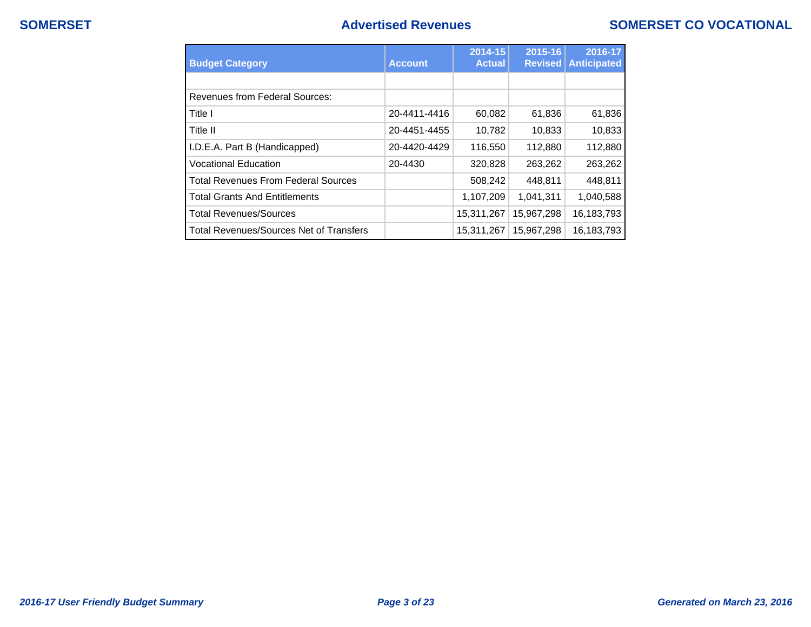## **SOMERSET Advertised Revenues SOMERSET CO VOCATIONAL**

| <b>Budget Category</b>                         | <b>Account</b> | 2014-15<br><b>Actual</b> | 2015-16<br><b>Revised</b> | 2016-17<br><b>Anticipated</b> |
|------------------------------------------------|----------------|--------------------------|---------------------------|-------------------------------|
|                                                |                |                          |                           |                               |
| <b>Revenues from Federal Sources:</b>          |                |                          |                           |                               |
| Title I                                        | 20-4411-4416   | 60,082                   | 61,836                    | 61,836                        |
| Title II                                       | 20-4451-4455   | 10,782                   | 10,833                    | 10,833                        |
| I.D.E.A. Part B (Handicapped)                  | 20-4420-4429   | 116,550                  | 112,880                   | 112,880                       |
| <b>Vocational Education</b>                    | 20-4430        | 320,828                  | 263,262                   | 263,262                       |
| <b>Total Revenues From Federal Sources</b>     |                | 508,242                  | 448,811                   | 448,811                       |
| <b>Total Grants And Entitlements</b>           |                | 1,107,209                | 1,041,311                 | 1,040,588                     |
| <b>Total Revenues/Sources</b>                  |                | 15,311,267               | 15.967.298                | 16,183,793                    |
| <b>Total Revenues/Sources Net of Transfers</b> |                | 15,311,267               | 15,967,298                | 16,183,793                    |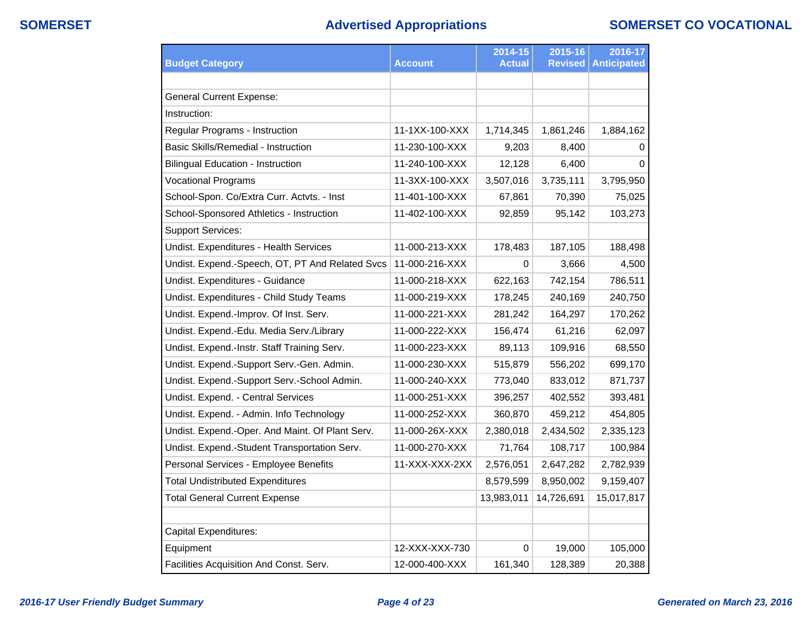# **SOMERSET Advertised Appropriations SOMERSET CO VOCATIONAL**

|                                                 |                | 2014-15       | 2015-16        | 2016-17            |
|-------------------------------------------------|----------------|---------------|----------------|--------------------|
| <b>Budget Category</b>                          | <b>Account</b> | <b>Actual</b> | <b>Revised</b> | <b>Anticipated</b> |
|                                                 |                |               |                |                    |
| <b>General Current Expense:</b>                 |                |               |                |                    |
| Instruction:                                    |                |               |                |                    |
| Regular Programs - Instruction                  | 11-1XX-100-XXX | 1,714,345     | 1,861,246      | 1,884,162          |
| <b>Basic Skills/Remedial - Instruction</b>      | 11-230-100-XXX | 9,203         | 8,400          | 0                  |
| <b>Bilingual Education - Instruction</b>        | 11-240-100-XXX | 12,128        | 6,400          | $\Omega$           |
| <b>Vocational Programs</b>                      | 11-3XX-100-XXX | 3,507,016     | 3,735,111      | 3,795,950          |
| School-Spon. Co/Extra Curr. Actvts. - Inst      | 11-401-100-XXX | 67,861        | 70,390         | 75,025             |
| School-Sponsored Athletics - Instruction        | 11-402-100-XXX | 92,859        | 95,142         | 103,273            |
| <b>Support Services:</b>                        |                |               |                |                    |
| Undist. Expenditures - Health Services          | 11-000-213-XXX | 178,483       | 187,105        | 188,498            |
| Undist. Expend.-Speech, OT, PT And Related Svcs | 11-000-216-XXX | 0             | 3,666          | 4,500              |
| Undist. Expenditures - Guidance                 | 11-000-218-XXX | 622,163       | 742,154        | 786,511            |
| Undist. Expenditures - Child Study Teams        | 11-000-219-XXX | 178,245       | 240,169        | 240,750            |
| Undist. Expend.-Improv. Of Inst. Serv.          | 11-000-221-XXX | 281,242       | 164,297        | 170,262            |
| Undist. Expend.-Edu. Media Serv./Library        | 11-000-222-XXX | 156,474       | 61,216         | 62,097             |
| Undist. Expend.-Instr. Staff Training Serv.     | 11-000-223-XXX | 89,113        | 109,916        | 68,550             |
| Undist. Expend.-Support Serv.-Gen. Admin.       | 11-000-230-XXX | 515,879       | 556,202        | 699,170            |
| Undist. Expend.-Support Serv.-School Admin.     | 11-000-240-XXX | 773,040       | 833,012        | 871,737            |
| Undist. Expend. - Central Services              | 11-000-251-XXX | 396,257       | 402,552        | 393,481            |
| Undist. Expend. - Admin. Info Technology        | 11-000-252-XXX | 360,870       | 459,212        | 454,805            |
| Undist. Expend.-Oper. And Maint. Of Plant Serv. | 11-000-26X-XXX | 2,380,018     | 2,434,502      | 2,335,123          |
| Undist. Expend.-Student Transportation Serv.    | 11-000-270-XXX | 71,764        | 108,717        | 100,984            |
| Personal Services - Employee Benefits           | 11-XXX-XXX-2XX | 2,576,051     | 2,647,282      | 2,782,939          |
| <b>Total Undistributed Expenditures</b>         |                | 8,579,599     | 8,950,002      | 9,159,407          |
| <b>Total General Current Expense</b>            |                | 13,983,011    | 14,726,691     | 15,017,817         |
| <b>Capital Expenditures:</b>                    |                |               |                |                    |
| Equipment                                       | 12-XXX-XXX-730 | 0             | 19,000         | 105,000            |
| Facilities Acquisition And Const. Serv.         | 12-000-400-XXX | 161,340       | 128,389        | 20,388             |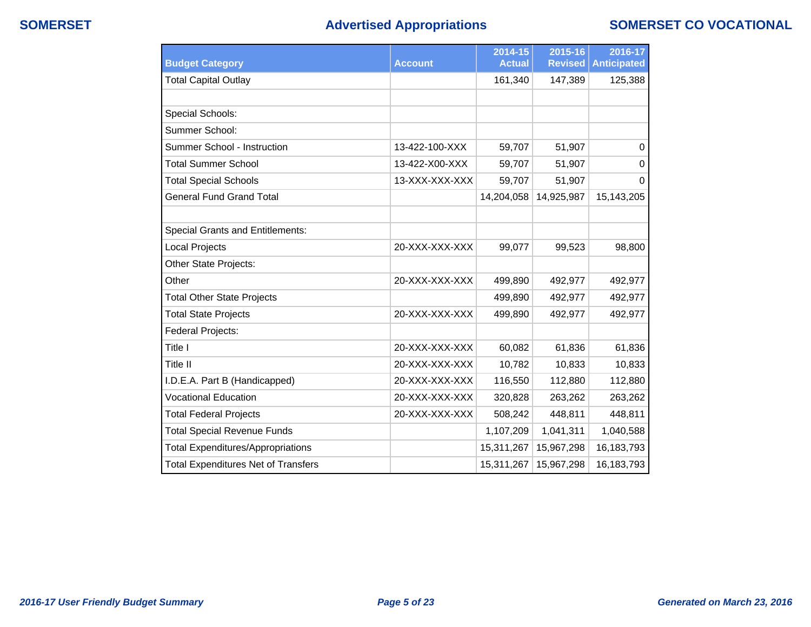## **SOMERSET Advertised Appropriations SOMERSET CO VOCATIONAL**

|                                            |                | 2014-15       | 2015-16        | 2016-17            |
|--------------------------------------------|----------------|---------------|----------------|--------------------|
| <b>Budget Category</b>                     | <b>Account</b> | <b>Actual</b> | <b>Revised</b> | <b>Anticipated</b> |
| <b>Total Capital Outlay</b>                |                | 161,340       | 147,389        | 125,388            |
|                                            |                |               |                |                    |
| Special Schools:                           |                |               |                |                    |
| Summer School:                             |                |               |                |                    |
| Summer School - Instruction                | 13-422-100-XXX | 59,707        | 51,907         | $\Omega$           |
| <b>Total Summer School</b>                 | 13-422-X00-XXX | 59,707        | 51,907         | $\Omega$           |
| <b>Total Special Schools</b>               | 13-XXX-XXX-XXX | 59,707        | 51,907         | $\Omega$           |
| <b>General Fund Grand Total</b>            |                | 14,204,058    | 14,925,987     | 15,143,205         |
|                                            |                |               |                |                    |
| <b>Special Grants and Entitlements:</b>    |                |               |                |                    |
| Local Projects                             | 20-XXX-XXX-XXX | 99,077        | 99,523         | 98,800             |
| Other State Projects:                      |                |               |                |                    |
| Other                                      | 20-XXX-XXX-XXX | 499,890       | 492,977        | 492,977            |
| <b>Total Other State Projects</b>          |                | 499,890       | 492,977        | 492,977            |
| <b>Total State Projects</b>                | 20-XXX-XXX-XXX | 499,890       | 492,977        | 492,977            |
| Federal Projects:                          |                |               |                |                    |
| Title I                                    | 20-XXX-XXX-XXX | 60,082        | 61,836         | 61,836             |
| Title II                                   | 20-XXX-XXX-XXX | 10,782        | 10,833         | 10,833             |
| I.D.E.A. Part B (Handicapped)              | 20-XXX-XXX-XXX | 116,550       | 112,880        | 112,880            |
| <b>Vocational Education</b>                | 20-XXX-XXX-XXX | 320,828       | 263,262        | 263,262            |
| <b>Total Federal Projects</b>              | 20-XXX-XXX-XXX | 508,242       | 448,811        | 448,811            |
| <b>Total Special Revenue Funds</b>         |                | 1,107,209     | 1,041,311      | 1,040,588          |
| <b>Total Expenditures/Appropriations</b>   |                | 15,311,267    | 15,967,298     | 16,183,793         |
| <b>Total Expenditures Net of Transfers</b> |                | 15,311,267    | 15,967,298     | 16,183,793         |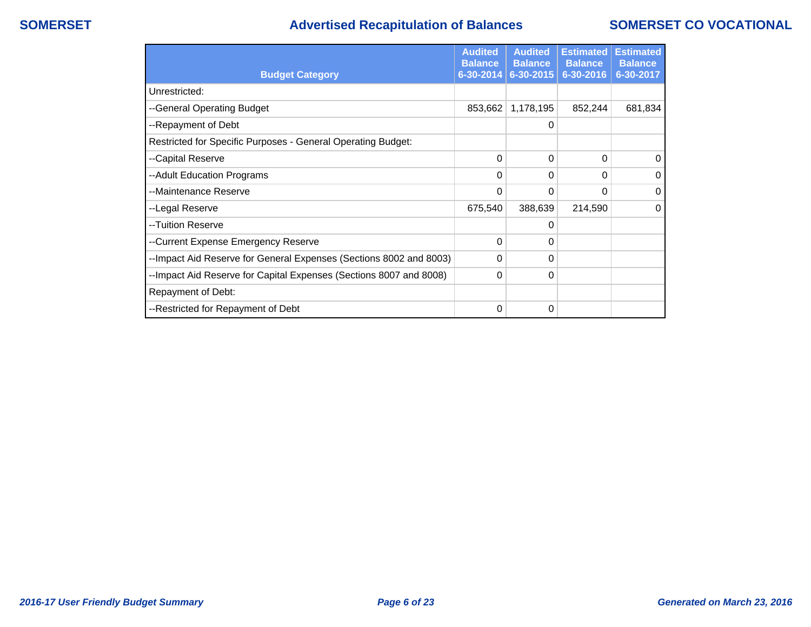## **SOMERSET Advertised Recapitulation of Balances SOMERSET CO VOCATIONAL**

|                                                                    | <b>Audited</b><br><b>Balance</b> | <b>Audited</b><br><b>Balance</b> | <b>Estimated</b><br><b>Balance</b> | <b>Estimated</b><br><b>Balance</b> |
|--------------------------------------------------------------------|----------------------------------|----------------------------------|------------------------------------|------------------------------------|
| <b>Budget Category</b>                                             | 6-30-2014                        | 6-30-2015                        | 6-30-2016                          | 6-30-2017                          |
| Unrestricted:                                                      |                                  |                                  |                                    |                                    |
| --General Operating Budget                                         | 853,662                          | 1,178,195                        | 852,244                            | 681,834                            |
| --Repayment of Debt                                                |                                  | 0                                |                                    |                                    |
| Restricted for Specific Purposes - General Operating Budget:       |                                  |                                  |                                    |                                    |
| --Capital Reserve                                                  | 0                                | 0                                | 0                                  | $\Omega$                           |
| --Adult Education Programs                                         | 0                                | 0                                | 0                                  | 0                                  |
| --Maintenance Reserve                                              | 0                                | 0                                | 0                                  | 0                                  |
| --Legal Reserve                                                    | 675,540                          | 388,639                          | 214,590                            | $\Omega$                           |
| --Tuition Reserve                                                  |                                  | 0                                |                                    |                                    |
| --Current Expense Emergency Reserve                                | 0                                | 0                                |                                    |                                    |
| --Impact Aid Reserve for General Expenses (Sections 8002 and 8003) | 0                                | 0                                |                                    |                                    |
| --Impact Aid Reserve for Capital Expenses (Sections 8007 and 8008) | 0                                | 0                                |                                    |                                    |
| Repayment of Debt:                                                 |                                  |                                  |                                    |                                    |
| --Restricted for Repayment of Debt                                 | 0                                | 0                                |                                    |                                    |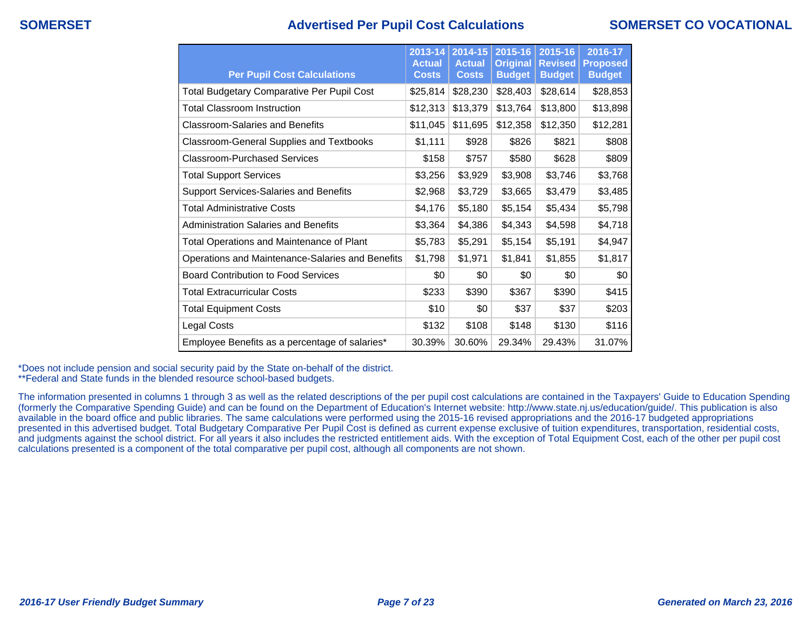## **SOMERSET Advertised Per Pupil Cost Calculations SOMERSET CO VOCATIONAL**

| <b>Per Pupil Cost Calculations</b>                | $2013 - 14$<br><b>Actual</b><br><b>Costs</b> | 2014-15<br><b>Actual</b><br><b>Costs</b> | 2015-16<br><b>Original</b><br><b>Budget</b> | 2015-16<br><b>Revised</b><br><b>Budget</b> | 2016-17<br><b>Proposed</b><br><b>Budget</b> |
|---------------------------------------------------|----------------------------------------------|------------------------------------------|---------------------------------------------|--------------------------------------------|---------------------------------------------|
| <b>Total Budgetary Comparative Per Pupil Cost</b> | \$25,814                                     | \$28,230                                 | \$28,403                                    | \$28,614                                   | \$28,853                                    |
| Total Classroom Instruction                       | \$12,313                                     | \$13,379                                 | \$13,764                                    | \$13,800                                   | \$13,898                                    |
| <b>Classroom-Salaries and Benefits</b>            | \$11,045                                     | \$11,695                                 | \$12,358                                    | \$12,350                                   | \$12,281                                    |
| Classroom-General Supplies and Textbooks          | \$1,111                                      | \$928                                    | \$826                                       | \$821                                      | \$808                                       |
| Classroom-Purchased Services                      | \$158                                        | \$757                                    | \$580                                       | \$628                                      | \$809                                       |
| <b>Total Support Services</b>                     | \$3,256                                      | \$3,929                                  | \$3,908                                     | \$3,746                                    | \$3,768                                     |
| Support Services-Salaries and Benefits            | \$2,968                                      | \$3,729                                  | \$3,665                                     | \$3,479                                    | \$3,485                                     |
| <b>Total Administrative Costs</b>                 | \$4,176                                      | \$5,180                                  | \$5,154                                     | \$5,434                                    | \$5,798                                     |
| <b>Administration Salaries and Benefits</b>       | \$3,364                                      | \$4,386                                  | \$4,343                                     | \$4,598                                    | \$4,718                                     |
| <b>Total Operations and Maintenance of Plant</b>  | \$5,783                                      | \$5,291                                  | \$5,154                                     | \$5,191                                    | \$4,947                                     |
| Operations and Maintenance-Salaries and Benefits  | \$1,798                                      | \$1,971                                  | \$1,841                                     | \$1,855                                    | \$1,817                                     |
| <b>Board Contribution to Food Services</b>        | \$0                                          | \$0                                      | \$0                                         | \$0                                        | \$0                                         |
| <b>Total Extracurricular Costs</b>                | \$233                                        | \$390                                    | \$367                                       | \$390                                      | \$415                                       |
| <b>Total Equipment Costs</b>                      | \$10                                         | \$0                                      | \$37                                        | \$37                                       | \$203                                       |
| Legal Costs                                       | \$132                                        | \$108                                    | \$148                                       | \$130                                      | \$116                                       |
| Employee Benefits as a percentage of salaries*    | 30.39%                                       | 30.60%                                   | 29.34%                                      | 29.43%                                     | 31.07%                                      |

\*Does not include pension and social security paid by the State on-behalf of the district.

\*\*Federal and State funds in the blended resource school-based budgets.

The information presented in columns 1 through 3 as well as the related descriptions of the per pupil cost calculations are contained in the Taxpayers' Guide to Education Spending (formerly the Comparative Spending Guide) and can be found on the Department of Education's Internet website: http://www.state.nj.us/education/guide/. This publication is also available in the board office and public libraries. The same calculations were performed using the 2015-16 revised appropriations and the 2016-17 budgeted appropriations presented in this advertised budget. Total Budgetary Comparative Per Pupil Cost is defined as current expense exclusive of tuition expenditures, transportation, residential costs, and judgments against the school district. For all years it also includes the restricted entitlement aids. With the exception of Total Equipment Cost, each of the other per pupil cost calculations presented is a component of the total comparative per pupil cost, although all components are not shown.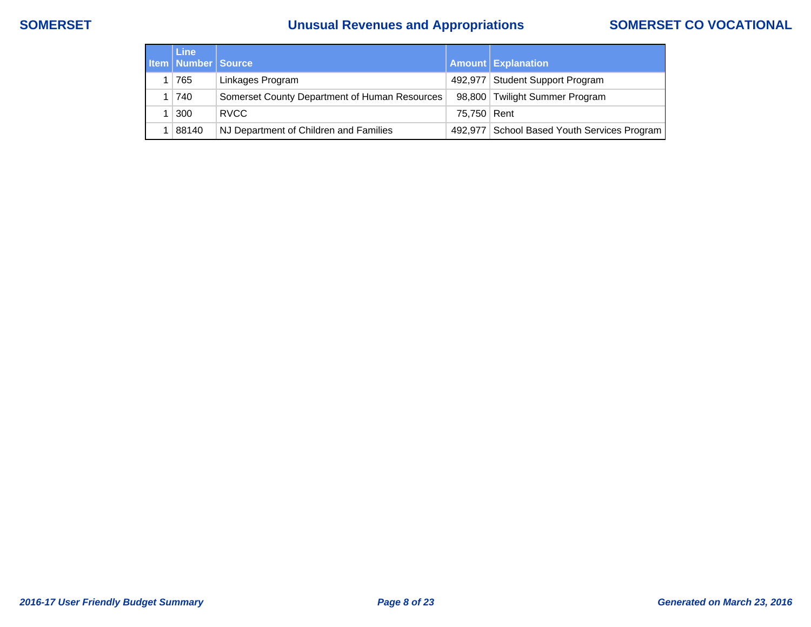# **SOMERSET Unusual Revenues and Appropriations SOMERSET CO VOCATIONAL**

| <b>Line</b><br><b>Item   Number   Source</b> |                                               |               | <b>Amount Explanation</b>                   |
|----------------------------------------------|-----------------------------------------------|---------------|---------------------------------------------|
| 765                                          | Linkages Program                              |               | 492,977 Student Support Program             |
| $ 740\rangle$                                | Somerset County Department of Human Resources |               | 98,800 Twilight Summer Program              |
| 300                                          | <b>RVCC</b>                                   | 75,750   Rent |                                             |
| 88140                                        | NJ Department of Children and Families        |               | 492,977 School Based Youth Services Program |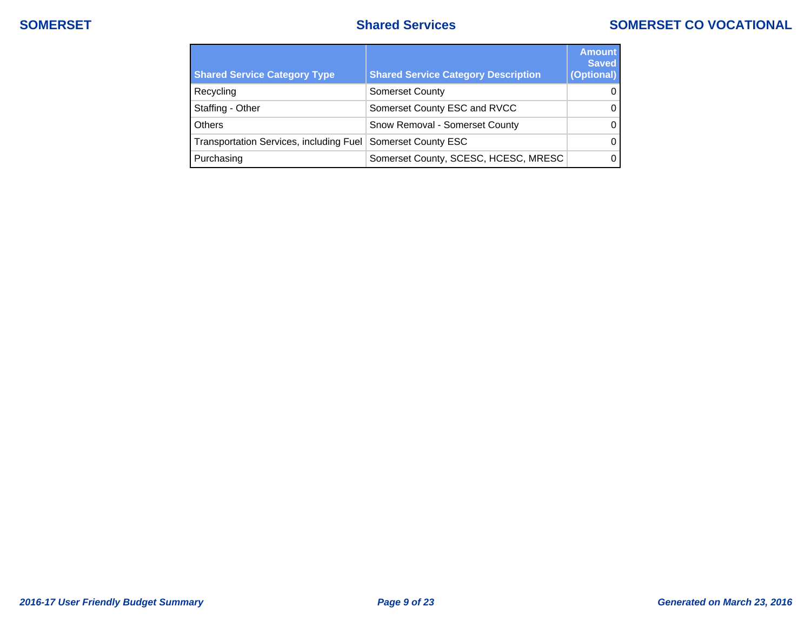## **SOMERSET SOMERSET SOMERSET SOMERSET CO** VOCATIONAL

| <b>Shared Service Category Type</b>                         | <b>Shared Service Category Description</b> | <b>Amount</b><br><b>Saved</b><br>(Optional) |
|-------------------------------------------------------------|--------------------------------------------|---------------------------------------------|
| Recycling                                                   | <b>Somerset County</b>                     | $\Omega$                                    |
| Staffing - Other                                            | Somerset County ESC and RVCC               | 0                                           |
| <b>Others</b>                                               | Snow Removal - Somerset County             | 0                                           |
| Transportation Services, including Fuel Somerset County ESC |                                            | $\Omega$                                    |
| Purchasing                                                  | Somerset County, SCESC, HCESC, MRESC       | 0                                           |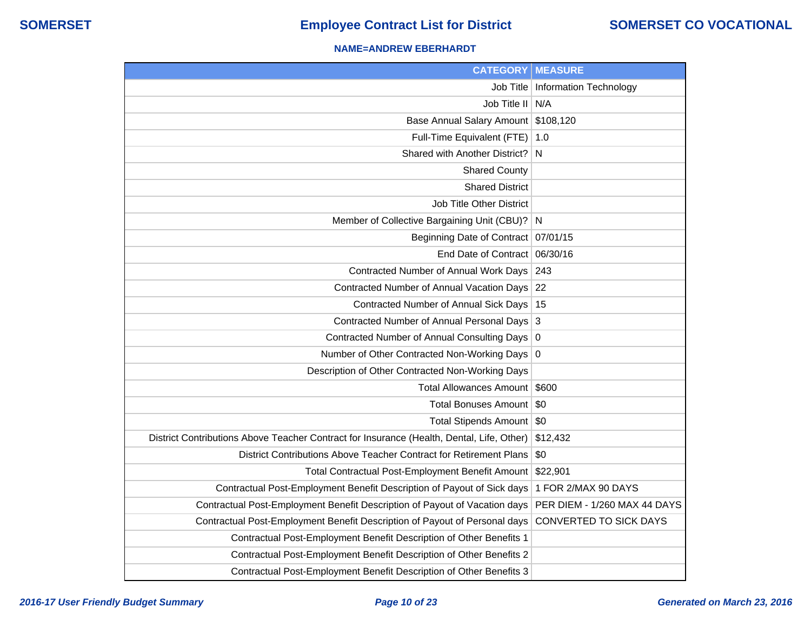### **NAME=ANDREW EBERHARDT**

| <b>CATEGORY</b>                                                                           | <b>MEASURE</b>                |
|-------------------------------------------------------------------------------------------|-------------------------------|
| Job Title                                                                                 | <b>Information Technology</b> |
| Job Title II                                                                              | N/A                           |
| <b>Base Annual Salary Amount</b>                                                          | \$108,120                     |
| Full-Time Equivalent (FTE)                                                                | 1.0                           |
| Shared with Another District?                                                             | N                             |
| <b>Shared County</b>                                                                      |                               |
| <b>Shared District</b>                                                                    |                               |
| <b>Job Title Other District</b>                                                           |                               |
| Member of Collective Bargaining Unit (CBU)?                                               | <sup>N</sup>                  |
| Beginning Date of Contract                                                                | 07/01/15                      |
| End Date of Contract                                                                      | 06/30/16                      |
| Contracted Number of Annual Work Days                                                     | 243                           |
| Contracted Number of Annual Vacation Days                                                 | 22                            |
| <b>Contracted Number of Annual Sick Days</b>                                              | 15                            |
| Contracted Number of Annual Personal Days                                                 | 3                             |
| Contracted Number of Annual Consulting Days                                               | 0                             |
| Number of Other Contracted Non-Working Days                                               | 0                             |
| Description of Other Contracted Non-Working Days                                          |                               |
| <b>Total Allowances Amount</b>                                                            | \$600                         |
| <b>Total Bonuses Amount</b>                                                               | \$0                           |
| Total Stipends Amount   \$0                                                               |                               |
| District Contributions Above Teacher Contract for Insurance (Health, Dental, Life, Other) | \$12,432                      |
| District Contributions Above Teacher Contract for Retirement Plans                        | \$0                           |
| Total Contractual Post-Employment Benefit Amount                                          | \$22,901                      |
| Contractual Post-Employment Benefit Description of Payout of Sick days                    | 1 FOR 2/MAX 90 DAYS           |
| Contractual Post-Employment Benefit Description of Payout of Vacation days                | PER DIEM - 1/260 MAX 44 DAYS  |
| Contractual Post-Employment Benefit Description of Payout of Personal days                | <b>CONVERTED TO SICK DAYS</b> |
| Contractual Post-Employment Benefit Description of Other Benefits 1                       |                               |
| Contractual Post-Employment Benefit Description of Other Benefits 2                       |                               |
| Contractual Post-Employment Benefit Description of Other Benefits 3                       |                               |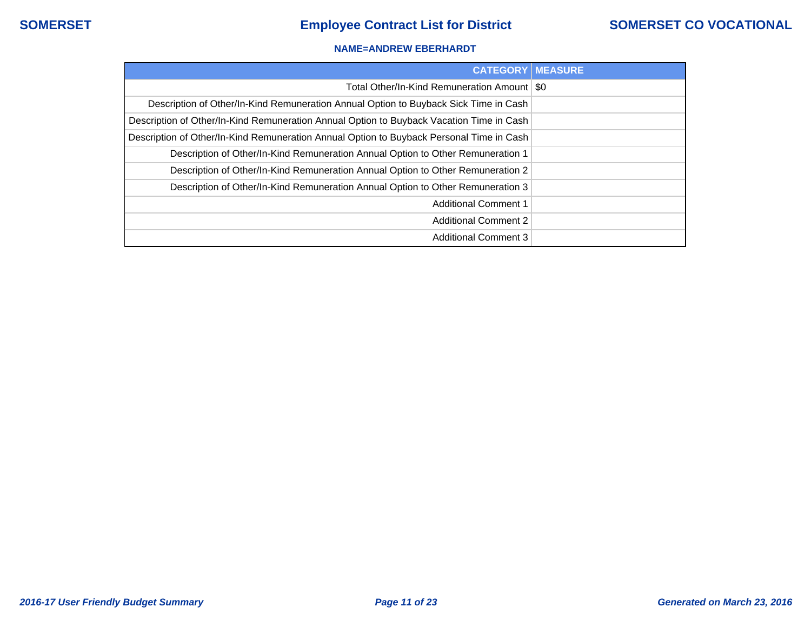### **NAME=ANDREW EBERHARDT**

| <b>CATEGORY   MEASURE</b>                                                                |  |
|------------------------------------------------------------------------------------------|--|
| Total Other/In-Kind Remuneration Amount   \$0                                            |  |
| Description of Other/In-Kind Remuneration Annual Option to Buyback Sick Time in Cash     |  |
| Description of Other/In-Kind Remuneration Annual Option to Buyback Vacation Time in Cash |  |
| Description of Other/In-Kind Remuneration Annual Option to Buyback Personal Time in Cash |  |
| Description of Other/In-Kind Remuneration Annual Option to Other Remuneration 1          |  |
| Description of Other/In-Kind Remuneration Annual Option to Other Remuneration 2          |  |
| Description of Other/In-Kind Remuneration Annual Option to Other Remuneration 3          |  |
| <b>Additional Comment 1</b>                                                              |  |
| <b>Additional Comment 2</b>                                                              |  |
| <b>Additional Comment 3</b>                                                              |  |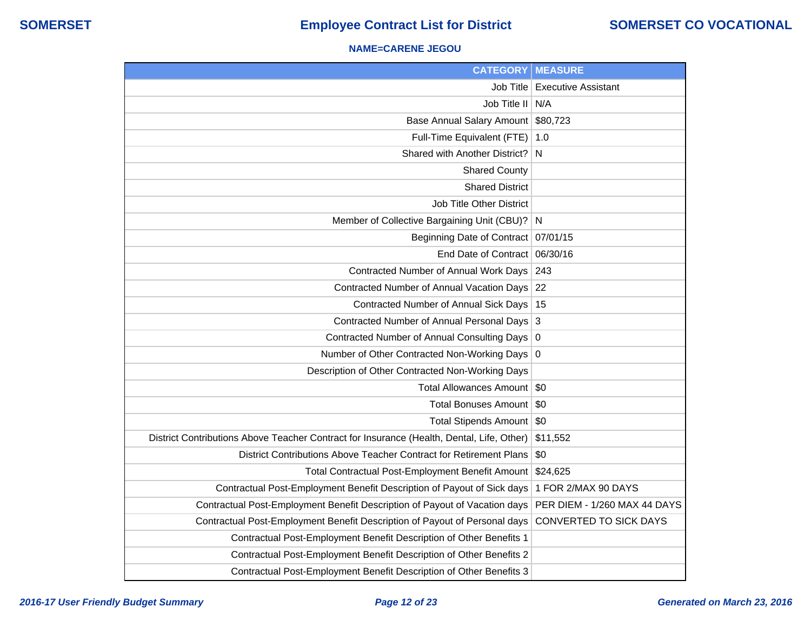### **NAME=CARENE JEGOU**

| <b>CATEGORY</b>                                                                           | <b>MEASURE</b>               |
|-------------------------------------------------------------------------------------------|------------------------------|
| Job Title                                                                                 | <b>Executive Assistant</b>   |
| Job Title II                                                                              | N/A                          |
| <b>Base Annual Salary Amount</b>                                                          | \$80,723                     |
| Full-Time Equivalent (FTE)                                                                | 1.0                          |
| Shared with Another District?                                                             | <sup>N</sup>                 |
| <b>Shared County</b>                                                                      |                              |
| <b>Shared District</b>                                                                    |                              |
| <b>Job Title Other District</b>                                                           |                              |
| Member of Collective Bargaining Unit (CBU)?                                               | -N                           |
| Beginning Date of Contract                                                                | 07/01/15                     |
| End Date of Contract                                                                      | 06/30/16                     |
| Contracted Number of Annual Work Days                                                     | 243                          |
| Contracted Number of Annual Vacation Days                                                 | 22                           |
| Contracted Number of Annual Sick Days                                                     | 15                           |
| Contracted Number of Annual Personal Days                                                 | 3                            |
| Contracted Number of Annual Consulting Days                                               | $\overline{0}$               |
| Number of Other Contracted Non-Working Days                                               | 0                            |
| Description of Other Contracted Non-Working Days                                          |                              |
| <b>Total Allowances Amount</b>                                                            | $\sqrt{50}$                  |
| <b>Total Bonuses Amount</b>                                                               | \$0                          |
| Total Stipends Amount   \$0                                                               |                              |
| District Contributions Above Teacher Contract for Insurance (Health, Dental, Life, Other) | \$11,552                     |
| District Contributions Above Teacher Contract for Retirement Plans                        | \$0                          |
| Total Contractual Post-Employment Benefit Amount                                          | \$24,625                     |
| Contractual Post-Employment Benefit Description of Payout of Sick days                    | 1 FOR 2/MAX 90 DAYS          |
| Contractual Post-Employment Benefit Description of Payout of Vacation days                | PER DIEM - 1/260 MAX 44 DAYS |
| Contractual Post-Employment Benefit Description of Payout of Personal days                | CONVERTED TO SICK DAYS       |
| Contractual Post-Employment Benefit Description of Other Benefits 1                       |                              |
| Contractual Post-Employment Benefit Description of Other Benefits 2                       |                              |
| Contractual Post-Employment Benefit Description of Other Benefits 3                       |                              |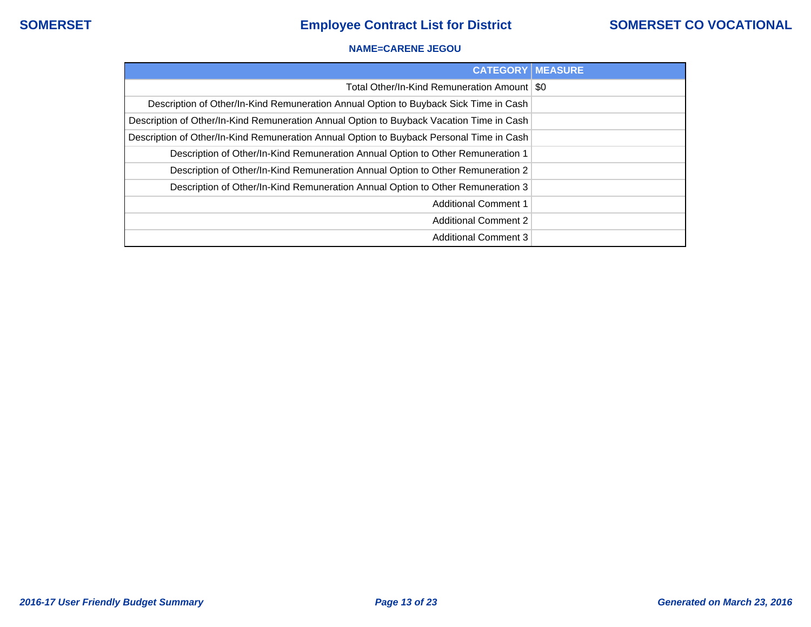### **NAME=CARENE JEGOU**

| <b>CATEGORY MEASURE</b>                                                                  |  |
|------------------------------------------------------------------------------------------|--|
| Total Other/In-Kind Remuneration Amount   \$0                                            |  |
| Description of Other/In-Kind Remuneration Annual Option to Buyback Sick Time in Cash     |  |
| Description of Other/In-Kind Remuneration Annual Option to Buyback Vacation Time in Cash |  |
| Description of Other/In-Kind Remuneration Annual Option to Buyback Personal Time in Cash |  |
| Description of Other/In-Kind Remuneration Annual Option to Other Remuneration 1          |  |
| Description of Other/In-Kind Remuneration Annual Option to Other Remuneration 2          |  |
| Description of Other/In-Kind Remuneration Annual Option to Other Remuneration 3          |  |
| <b>Additional Comment 1</b>                                                              |  |
| <b>Additional Comment 2</b>                                                              |  |
| <b>Additional Comment 3</b>                                                              |  |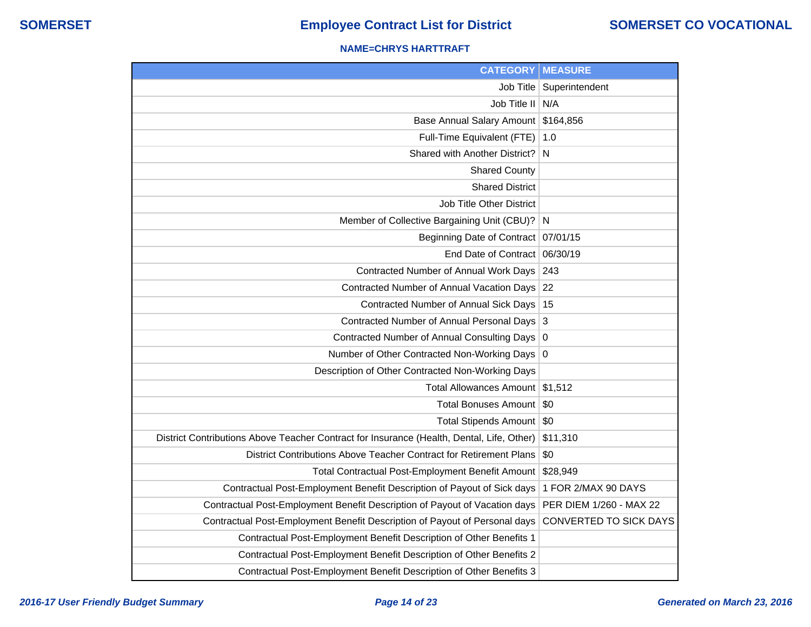### **NAME=CHRYS HARTTRAFT**

| <b>CATEGORY</b>                                                                           | <b>MEASURE</b>                |
|-------------------------------------------------------------------------------------------|-------------------------------|
| Job Title                                                                                 | Superintendent                |
| Job Title II                                                                              | N/A                           |
| <b>Base Annual Salary Amount</b>                                                          | \$164,856                     |
| Full-Time Equivalent (FTE)                                                                | 1.0                           |
| Shared with Another District?                                                             | N                             |
| <b>Shared County</b>                                                                      |                               |
| <b>Shared District</b>                                                                    |                               |
| Job Title Other District                                                                  |                               |
| Member of Collective Bargaining Unit (CBU)?                                               | N                             |
| <b>Beginning Date of Contract</b>                                                         | 07/01/15                      |
| End Date of Contract                                                                      | 06/30/19                      |
| Contracted Number of Annual Work Days                                                     | 243                           |
| Contracted Number of Annual Vacation Days                                                 | 22                            |
| Contracted Number of Annual Sick Days                                                     | 15                            |
| <b>Contracted Number of Annual Personal Days</b>                                          | 3                             |
| <b>Contracted Number of Annual Consulting Days</b>                                        | 0                             |
| Number of Other Contracted Non-Working Days                                               | O                             |
| Description of Other Contracted Non-Working Days                                          |                               |
| Total Allowances Amount                                                                   | \$1,512                       |
| Total Bonuses Amount                                                                      | \$0                           |
| Total Stipends Amount   \$0                                                               |                               |
| District Contributions Above Teacher Contract for Insurance (Health, Dental, Life, Other) | \$11,310                      |
| District Contributions Above Teacher Contract for Retirement Plans                        | \$0                           |
| Total Contractual Post-Employment Benefit Amount                                          | \$28,949                      |
| Contractual Post-Employment Benefit Description of Payout of Sick days                    | 1 FOR 2/MAX 90 DAYS           |
| Contractual Post-Employment Benefit Description of Payout of Vacation days                | PER DIEM 1/260 - MAX 22       |
| Contractual Post-Employment Benefit Description of Payout of Personal days                | <b>CONVERTED TO SICK DAYS</b> |
| Contractual Post-Employment Benefit Description of Other Benefits 1                       |                               |
| Contractual Post-Employment Benefit Description of Other Benefits 2                       |                               |
| Contractual Post-Employment Benefit Description of Other Benefits 3                       |                               |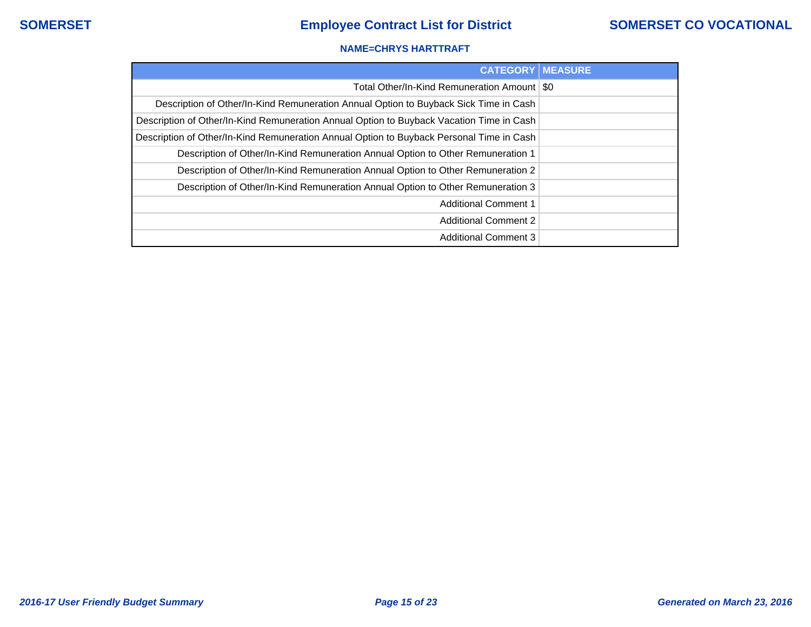### **NAME=CHRYS HARTTRAFT**

| <b>CATEGORY   MEASURE</b>                                                                |  |
|------------------------------------------------------------------------------------------|--|
| Total Other/In-Kind Remuneration Amount   \$0                                            |  |
| Description of Other/In-Kind Remuneration Annual Option to Buyback Sick Time in Cash     |  |
| Description of Other/In-Kind Remuneration Annual Option to Buyback Vacation Time in Cash |  |
| Description of Other/In-Kind Remuneration Annual Option to Buyback Personal Time in Cash |  |
| Description of Other/In-Kind Remuneration Annual Option to Other Remuneration 1          |  |
| Description of Other/In-Kind Remuneration Annual Option to Other Remuneration 2          |  |
| Description of Other/In-Kind Remuneration Annual Option to Other Remuneration 3          |  |
| <b>Additional Comment 1</b>                                                              |  |
| <b>Additional Comment 2</b>                                                              |  |
| <b>Additional Comment 3</b>                                                              |  |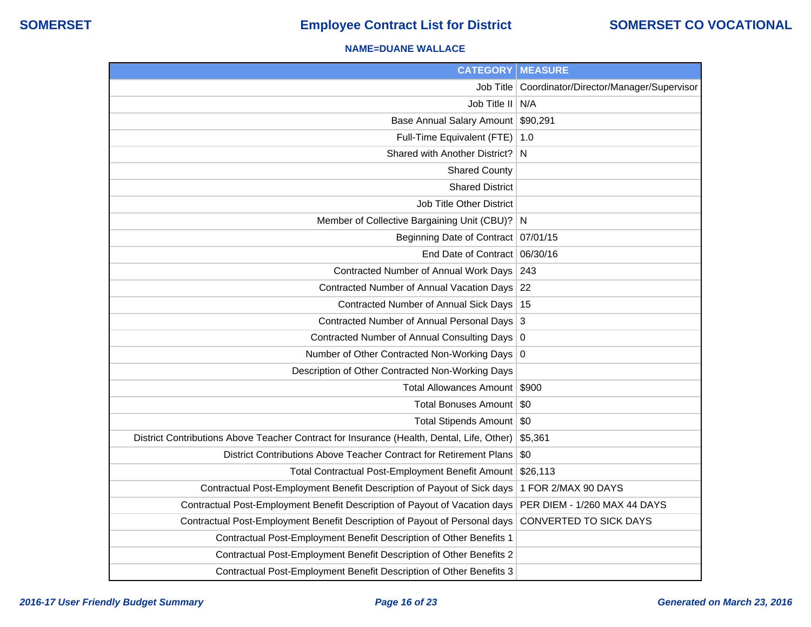### **NAME=DUANE WALLACE**

| <b>CATEGORY   MEASURE</b>                                                                 |                                                     |
|-------------------------------------------------------------------------------------------|-----------------------------------------------------|
|                                                                                           | Job Title   Coordinator/Director/Manager/Supervisor |
| Job Title II N/A                                                                          |                                                     |
| Base Annual Salary Amount \$90,291                                                        |                                                     |
| Full-Time Equivalent (FTE)   1.0                                                          |                                                     |
| Shared with Another District? N                                                           |                                                     |
| <b>Shared County</b>                                                                      |                                                     |
| <b>Shared District</b>                                                                    |                                                     |
| <b>Job Title Other District</b>                                                           |                                                     |
| Member of Collective Bargaining Unit (CBU)? N                                             |                                                     |
| Beginning Date of Contract 07/01/15                                                       |                                                     |
| End Date of Contract 06/30/16                                                             |                                                     |
| Contracted Number of Annual Work Days 243                                                 |                                                     |
| Contracted Number of Annual Vacation Days 22                                              |                                                     |
| Contracted Number of Annual Sick Days   15                                                |                                                     |
| Contracted Number of Annual Personal Days 3                                               |                                                     |
| Contracted Number of Annual Consulting Days 0                                             |                                                     |
| Number of Other Contracted Non-Working Days 0                                             |                                                     |
| Description of Other Contracted Non-Working Days                                          |                                                     |
| Total Allowances Amount   \$900                                                           |                                                     |
| Total Bonuses Amount   \$0                                                                |                                                     |
| Total Stipends Amount   \$0                                                               |                                                     |
| District Contributions Above Teacher Contract for Insurance (Health, Dental, Life, Other) | \$5,361                                             |
| District Contributions Above Teacher Contract for Retirement Plans                        | \$0                                                 |
| Total Contractual Post-Employment Benefit Amount \$26,113                                 |                                                     |
| Contractual Post-Employment Benefit Description of Payout of Sick days                    | 1 FOR 2/MAX 90 DAYS                                 |
| Contractual Post-Employment Benefit Description of Payout of Vacation days                | PER DIEM - 1/260 MAX 44 DAYS                        |
| Contractual Post-Employment Benefit Description of Payout of Personal days                | CONVERTED TO SICK DAYS                              |
| Contractual Post-Employment Benefit Description of Other Benefits 1                       |                                                     |
| Contractual Post-Employment Benefit Description of Other Benefits 2                       |                                                     |
| Contractual Post-Employment Benefit Description of Other Benefits 3                       |                                                     |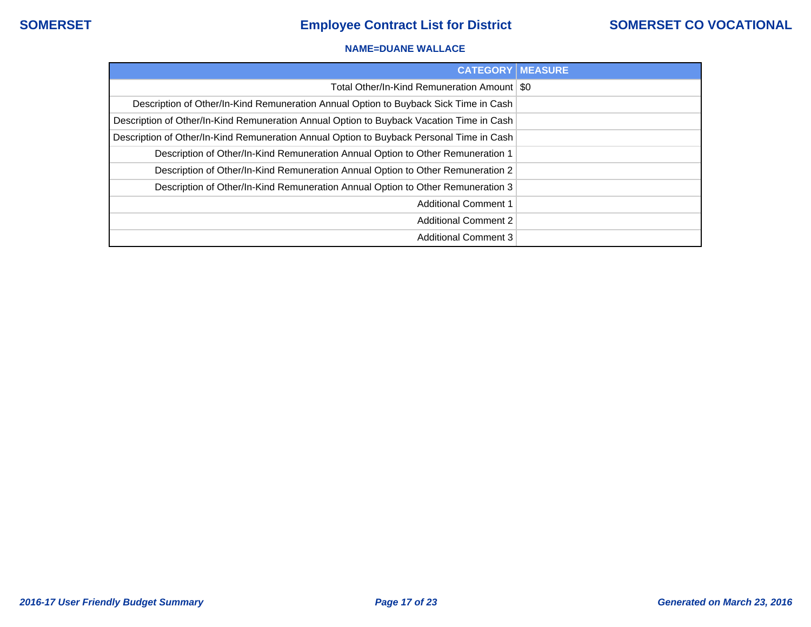### **NAME=DUANE WALLACE**

| <b>CATEGORY   MEASURE</b>                                                                |  |
|------------------------------------------------------------------------------------------|--|
| Total Other/In-Kind Remuneration Amount   \$0                                            |  |
| Description of Other/In-Kind Remuneration Annual Option to Buyback Sick Time in Cash     |  |
| Description of Other/In-Kind Remuneration Annual Option to Buyback Vacation Time in Cash |  |
| Description of Other/In-Kind Remuneration Annual Option to Buyback Personal Time in Cash |  |
| Description of Other/In-Kind Remuneration Annual Option to Other Remuneration 1          |  |
| Description of Other/In-Kind Remuneration Annual Option to Other Remuneration 2          |  |
| Description of Other/In-Kind Remuneration Annual Option to Other Remuneration 3          |  |
| <b>Additional Comment 1</b>                                                              |  |
| <b>Additional Comment 2</b>                                                              |  |
| <b>Additional Comment 3</b>                                                              |  |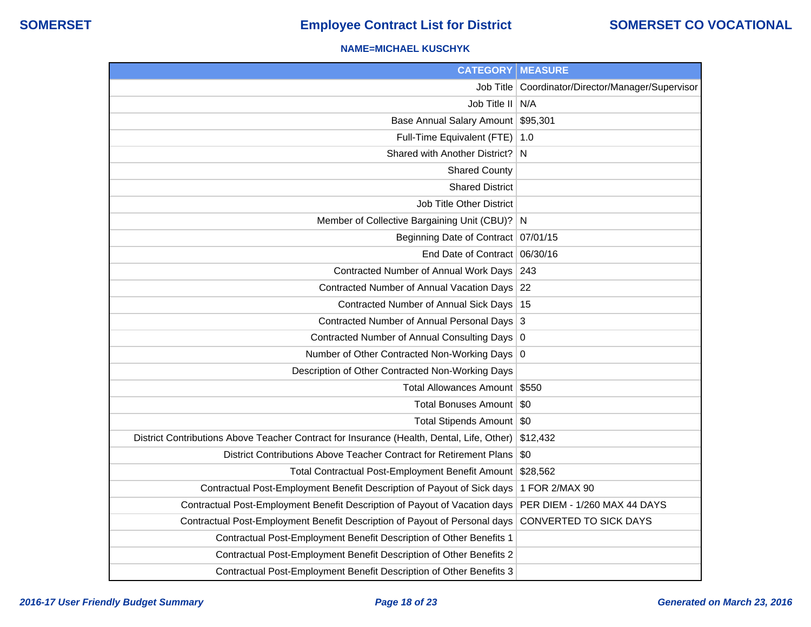### **NAME=MICHAEL KUSCHYK**

| <b>CATEGORY</b>                                                                           | <b>MEASURE</b>                                      |
|-------------------------------------------------------------------------------------------|-----------------------------------------------------|
|                                                                                           | Job Title   Coordinator/Director/Manager/Supervisor |
| Job Title II N/A                                                                          |                                                     |
| Base Annual Salary Amount \$95,301                                                        |                                                     |
| Full-Time Equivalent (FTE)   1.0                                                          |                                                     |
| Shared with Another District?                                                             | N                                                   |
| <b>Shared County</b>                                                                      |                                                     |
| <b>Shared District</b>                                                                    |                                                     |
| <b>Job Title Other District</b>                                                           |                                                     |
| Member of Collective Bargaining Unit (CBU)? N                                             |                                                     |
| Beginning Date of Contract   07/01/15                                                     |                                                     |
| End Date of Contract 06/30/16                                                             |                                                     |
| Contracted Number of Annual Work Days 243                                                 |                                                     |
| Contracted Number of Annual Vacation Days 22                                              |                                                     |
| Contracted Number of Annual Sick Days   15                                                |                                                     |
| Contracted Number of Annual Personal Days 3                                               |                                                     |
| Contracted Number of Annual Consulting Days 0                                             |                                                     |
| Number of Other Contracted Non-Working Days 0                                             |                                                     |
| Description of Other Contracted Non-Working Days                                          |                                                     |
| Total Allowances Amount \$550                                                             |                                                     |
| Total Bonuses Amount   \$0                                                                |                                                     |
| Total Stipends Amount   \$0                                                               |                                                     |
| District Contributions Above Teacher Contract for Insurance (Health, Dental, Life, Other) | \$12,432                                            |
| District Contributions Above Teacher Contract for Retirement Plans                        | \$0                                                 |
| Total Contractual Post-Employment Benefit Amount                                          | \$28,562                                            |
| Contractual Post-Employment Benefit Description of Payout of Sick days                    | 1 FOR 2/MAX 90                                      |
| Contractual Post-Employment Benefit Description of Payout of Vacation days                | PER DIEM - 1/260 MAX 44 DAYS                        |
| Contractual Post-Employment Benefit Description of Payout of Personal days                | CONVERTED TO SICK DAYS                              |
| Contractual Post-Employment Benefit Description of Other Benefits 1                       |                                                     |
| Contractual Post-Employment Benefit Description of Other Benefits 2                       |                                                     |
| Contractual Post-Employment Benefit Description of Other Benefits 3                       |                                                     |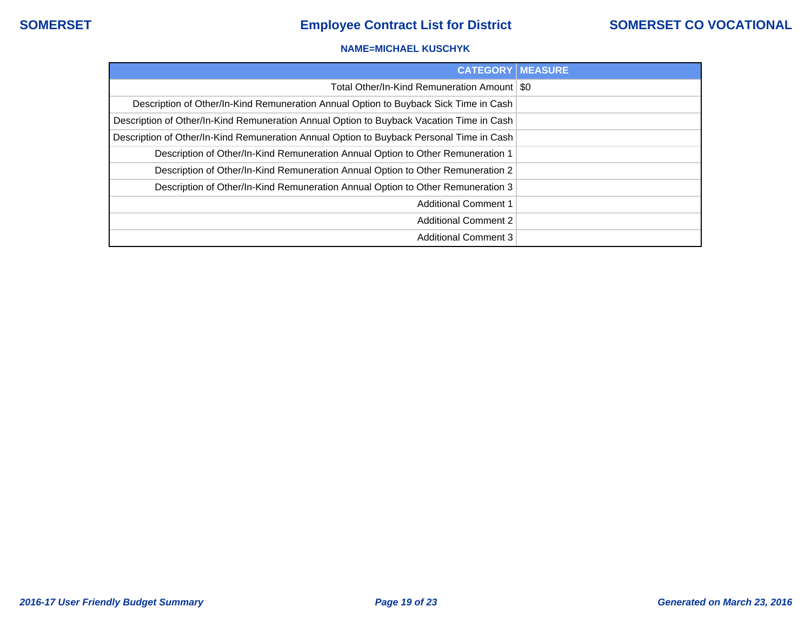### **NAME=MICHAEL KUSCHYK**

| <b>CATEGORY   MEASURE</b>                                                                |  |
|------------------------------------------------------------------------------------------|--|
| Total Other/In-Kind Remuneration Amount   \$0                                            |  |
| Description of Other/In-Kind Remuneration Annual Option to Buyback Sick Time in Cash     |  |
| Description of Other/In-Kind Remuneration Annual Option to Buyback Vacation Time in Cash |  |
| Description of Other/In-Kind Remuneration Annual Option to Buyback Personal Time in Cash |  |
| Description of Other/In-Kind Remuneration Annual Option to Other Remuneration 1          |  |
| Description of Other/In-Kind Remuneration Annual Option to Other Remuneration 2          |  |
| Description of Other/In-Kind Remuneration Annual Option to Other Remuneration 3          |  |
| <b>Additional Comment 1</b>                                                              |  |
| <b>Additional Comment 2</b>                                                              |  |
| <b>Additional Comment 3</b>                                                              |  |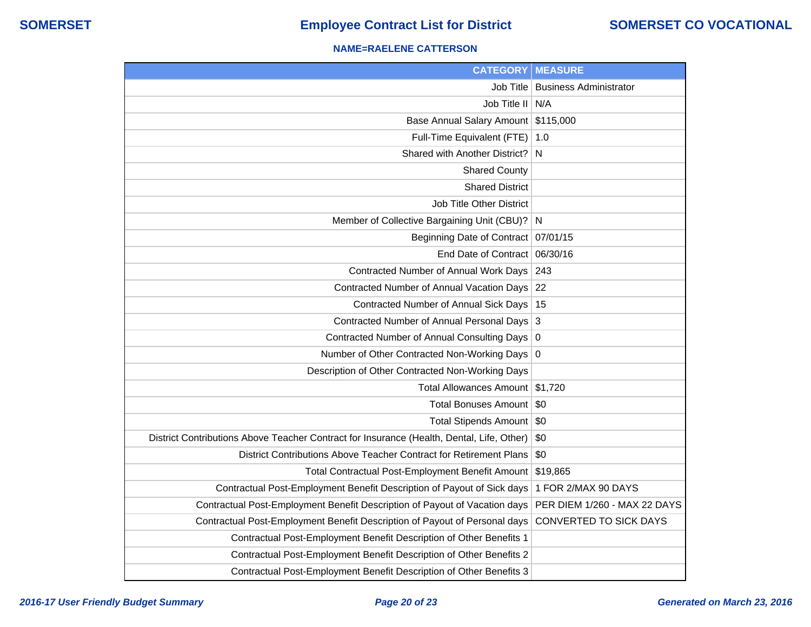### **NAME=RAELENE CATTERSON**

| <b>CATEGORY</b>                                                                           | <b>MEASURE</b>                |
|-------------------------------------------------------------------------------------------|-------------------------------|
| Job Title                                                                                 | <b>Business Administrator</b> |
| Job Title II                                                                              | N/A                           |
| <b>Base Annual Salary Amount</b>                                                          | \$115,000                     |
| Full-Time Equivalent (FTE)                                                                | 1.0                           |
| Shared with Another District?                                                             | N                             |
| <b>Shared County</b>                                                                      |                               |
| <b>Shared District</b>                                                                    |                               |
| Job Title Other District                                                                  |                               |
| Member of Collective Bargaining Unit (CBU)?                                               | <sup>N</sup>                  |
| Beginning Date of Contract 07/01/15                                                       |                               |
| End Date of Contract                                                                      | 06/30/16                      |
| Contracted Number of Annual Work Days                                                     | 243                           |
| Contracted Number of Annual Vacation Days                                                 | 22                            |
| Contracted Number of Annual Sick Days                                                     | 15                            |
| Contracted Number of Annual Personal Days                                                 | $\overline{3}$                |
| <b>Contracted Number of Annual Consulting Days</b>                                        | 0                             |
| Number of Other Contracted Non-Working Days                                               | $\overline{0}$                |
| Description of Other Contracted Non-Working Days                                          |                               |
| <b>Total Allowances Amount</b>                                                            | \$1,720                       |
| <b>Total Bonuses Amount</b>                                                               | \$0                           |
| Total Stipends Amount   \$0                                                               |                               |
| District Contributions Above Teacher Contract for Insurance (Health, Dental, Life, Other) | \$0                           |
| District Contributions Above Teacher Contract for Retirement Plans                        | \$0                           |
| Total Contractual Post-Employment Benefit Amount                                          | \$19,865                      |
| Contractual Post-Employment Benefit Description of Payout of Sick days                    | 1 FOR 2/MAX 90 DAYS           |
| Contractual Post-Employment Benefit Description of Payout of Vacation days                | PER DIEM 1/260 - MAX 22 DAYS  |
| Contractual Post-Employment Benefit Description of Payout of Personal days                | CONVERTED TO SICK DAYS        |
| Contractual Post-Employment Benefit Description of Other Benefits 1                       |                               |
| Contractual Post-Employment Benefit Description of Other Benefits 2                       |                               |
| Contractual Post-Employment Benefit Description of Other Benefits 3                       |                               |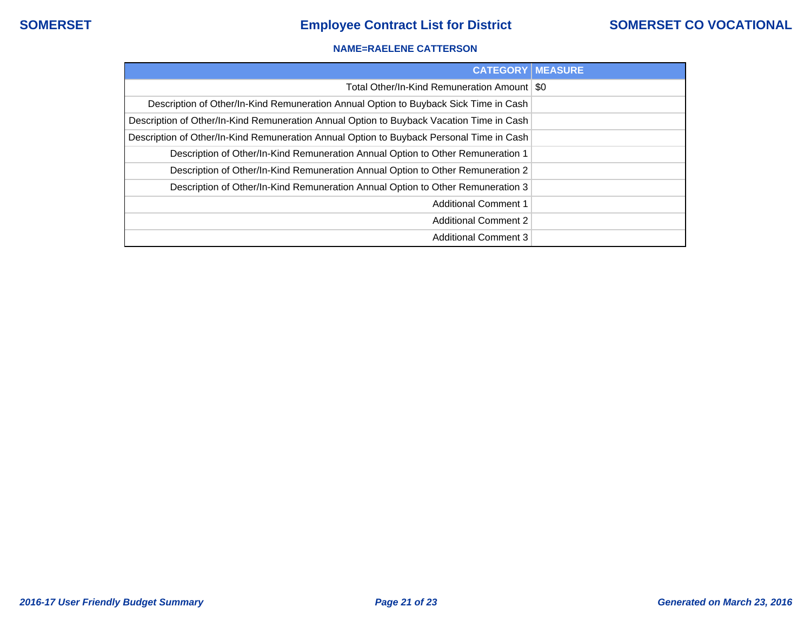### **NAME=RAELENE CATTERSON**

| <b>CATEGORY   MEASURE</b>                                                                |  |
|------------------------------------------------------------------------------------------|--|
| Total Other/In-Kind Remuneration Amount   \$0                                            |  |
| Description of Other/In-Kind Remuneration Annual Option to Buyback Sick Time in Cash     |  |
| Description of Other/In-Kind Remuneration Annual Option to Buyback Vacation Time in Cash |  |
| Description of Other/In-Kind Remuneration Annual Option to Buyback Personal Time in Cash |  |
| Description of Other/In-Kind Remuneration Annual Option to Other Remuneration 1          |  |
| Description of Other/In-Kind Remuneration Annual Option to Other Remuneration 2          |  |
| Description of Other/In-Kind Remuneration Annual Option to Other Remuneration 3          |  |
| <b>Additional Comment 1</b>                                                              |  |
| <b>Additional Comment 2</b>                                                              |  |
| <b>Additional Comment 3</b>                                                              |  |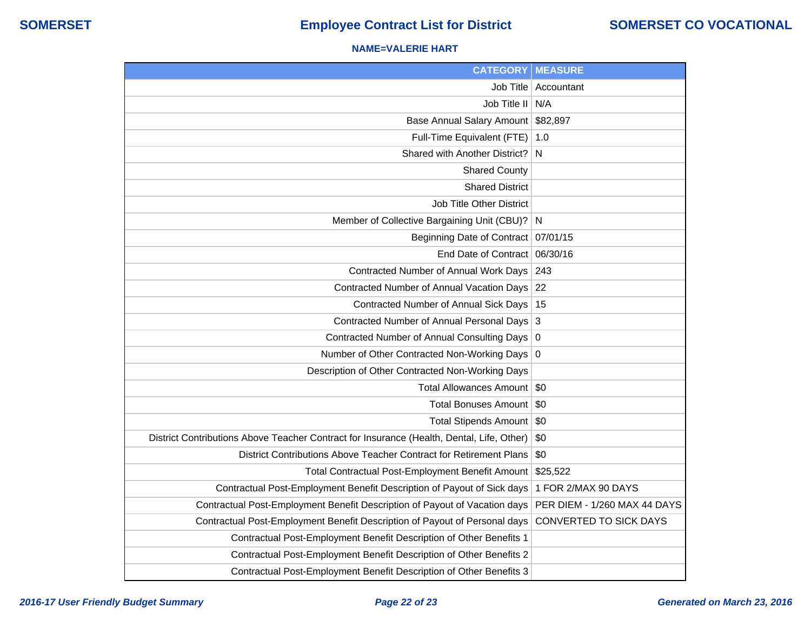### **NAME=VALERIE HART**

| <b>CATEGORY</b>                                                                           | <b>MEASURE</b>                |
|-------------------------------------------------------------------------------------------|-------------------------------|
|                                                                                           | Job Title   Accountant        |
| Job Title II N/A                                                                          |                               |
| <b>Base Annual Salary Amount</b>                                                          | \$82,897                      |
| Full-Time Equivalent (FTE)                                                                | 1.0                           |
| Shared with Another District?                                                             | N                             |
| <b>Shared County</b>                                                                      |                               |
| <b>Shared District</b>                                                                    |                               |
| <b>Job Title Other District</b>                                                           |                               |
| Member of Collective Bargaining Unit (CBU)? N                                             |                               |
| Beginning Date of Contract                                                                | 07/01/15                      |
| End Date of Contract                                                                      | 06/30/16                      |
| Contracted Number of Annual Work Days                                                     | 243                           |
| Contracted Number of Annual Vacation Days                                                 | 22                            |
| Contracted Number of Annual Sick Days                                                     | 15                            |
| Contracted Number of Annual Personal Days                                                 | 3                             |
| Contracted Number of Annual Consulting Days 0                                             |                               |
| Number of Other Contracted Non-Working Days                                               | 0                             |
| Description of Other Contracted Non-Working Days                                          |                               |
| <b>Total Allowances Amount</b>                                                            | \$0                           |
| Total Bonuses Amount                                                                      | \$0                           |
| Total Stipends Amount                                                                     | \$0                           |
| District Contributions Above Teacher Contract for Insurance (Health, Dental, Life, Other) | \$0                           |
| District Contributions Above Teacher Contract for Retirement Plans                        | \$0                           |
| <b>Total Contractual Post-Employment Benefit Amount</b>                                   | \$25,522                      |
| Contractual Post-Employment Benefit Description of Payout of Sick days                    | 1 FOR 2/MAX 90 DAYS           |
| Contractual Post-Employment Benefit Description of Payout of Vacation days                | PER DIEM - 1/260 MAX 44 DAYS  |
| Contractual Post-Employment Benefit Description of Payout of Personal days                | <b>CONVERTED TO SICK DAYS</b> |
| Contractual Post-Employment Benefit Description of Other Benefits 1                       |                               |
| Contractual Post-Employment Benefit Description of Other Benefits 2                       |                               |
| Contractual Post-Employment Benefit Description of Other Benefits 3                       |                               |